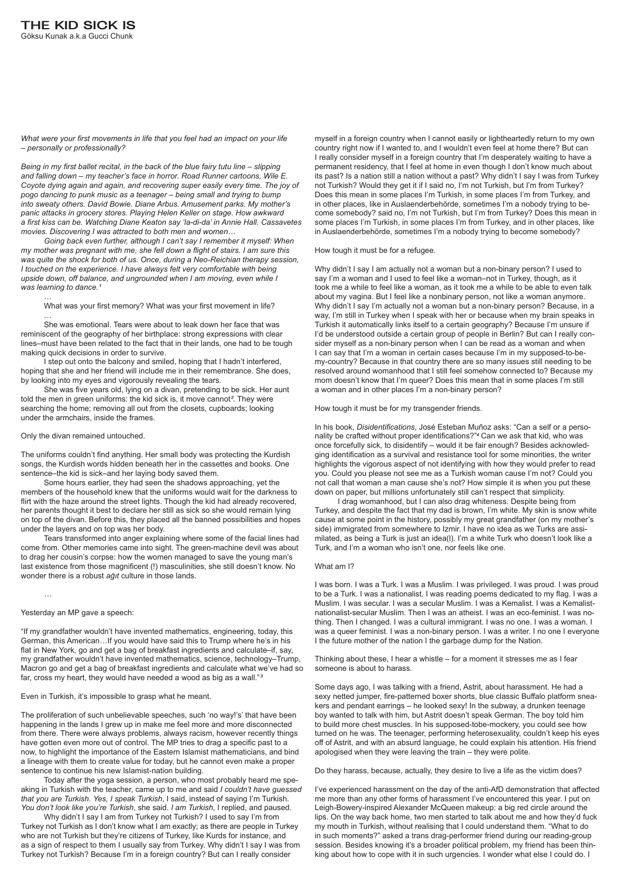*What were your first movements in life that you feel had an impact on your life – personally or professionally?*

*Going back even further, although I can't say I remember it myself: When my mother was pregnant with me, she fell down a flight of stairs. I am sure this was quite the shock for both of us. Once, during a Neo-Reichian therapy session, I touched on the experience. I have always felt very comfortable with being upside down, off balance, and ungrounded when I am moving, even while I*  was learning to dance.<sup>1</sup>

*Being in my first ballet recital, in the back of the blue fairy tutu line – slipping and falling down – my teacher's face in horror. Road Runner cartoons, Wile E. Coyote dying again and again, and recovering super easily every time. The joy of pogo dancing to punk music as a teenager – being small and trying to bump into sweaty others. David Bowie. Diane Arbus. Amusement parks. My mother's panic attacks in grocery stores. Playing Helen Keller on stage. How awkward a first kiss can be. Watching Diane Keaton say 'la-di-da' in Annie Hall. Cassavetes movies. Discovering I was attracted to both men and women…*

…

What was your first memory? What was your first movement in life?

… She was emotional. Tears were about to leak down her face that was reminiscent of the geography of her birthplace: strong expressions with clear lines–must have been related to the fact that in their lands, one had to be tough making quick decisions in order to survive.

I step out onto the balcony and smiled, hoping that I hadn't interfered, hoping that she and her friend will include me in their remembrance. She does, by looking into my eyes and vigorously revealing the tears.

She was five years old, lying on a divan, pretending to be sick. Her aunt told the men in green uniforms: the kid sick is, it move cannot*²*. They were searching the home; removing all out from the closets, cupboards; looking under the armchairs, inside the frames.

# Only the divan remained untouched.

The uniforms couldn't find anything. Her small body was protecting the Kurdish songs, the Kurdish words hidden beneath her in the cassettes and books. One sentence–the kid is sick–and her laying body saved them.

Some hours earlier, they had seen the shadows approaching, yet the members of the household knew that the uniforms would wait for the darkness to flirt with the haze around the street lights. Though the kid had already recovered, her parents thought it best to declare her still as sick so she would remain lying on top of the divan. Before this, they placed all the banned possibilities and hopes under the layers and on top was her body.

Tears transformed into anger explaining where some of the facial lines had come from. Other memories came into sight. The green-machine devil was about to drag her cousin's corpse: how the women managed to save the young man's last existence from those magnificent (!) masculinities, she still doesn't know. No wonder there is a robust *ağıt* culture in those lands.

Yesterday an MP gave a speech:

*…*

"If my grandfather wouldn't have invented mathematics, engineering, today, this German, this American…If you would have said this to Trump where he's in his flat in New York, go and get a bag of breakfast ingredients and calculate–if, say, my grandfather wouldn't have invented mathematics, science, technology–Trump,

Macron go and get a bag of breakfast ingredients and calculate what we've had so far, cross my heart, they would have needed a wood as big as a wall."*³*

Even in Turkish, it's impossible to grasp what he meant.

The proliferation of such unbelievable speeches, such 'no way!'s' that have been happening in the lands I grew up in make me feel more and more disconnected from there. There were always problems, always racism, however recently things have gotten even more out of control. The MP tries to drag a specific past to a now, to highlight the importance of the Eastern Islamist mathematicians, and bind a lineage with them to create value for today, but he cannot even make a proper sentence to continue his new Islamist-nation building.

Today after the yoga session, a person, who most probably heard me speaking in Turkish with the teacher, came up to me and said *I couldn't have guessed that you are Turkish*. *Yes, I speak Turkish*, I said, instead of saying I'm Turkish. *You don't look like you're Turkish*, she said. *I am Turkish*, I replied, and paused.

Why didn't I say I am from Turkey not Turkish? I used to say I'm from Turkey not Turkish as I don't know what I am exactly; as there are people in Turkey who are not Turkish but they're citizens of Turkey, like Kurds for instance, and as a sign of respect to them I usually say from Turkey. Why didn't I say I was from Turkey not Turkish? Because I'm in a foreign country? But can I really consider

myself in a foreign country when I cannot easily or lightheartedly return to my own country right now if I wanted to, and I wouldn't even feel at home there? But can I really consider myself in a foreign country that I'm desperately waiting to have a permanent residency, that I feel at home in even though I don't know much about its past? Is a nation still a nation without a past? Why didn't I say I was from Turkey not Turkish? Would they get it if I said no, I'm not Turkish, but I'm from Turkey? Does this mean in some places I'm Turkish, in some places I'm from Turkey, and in other places, like in Auslaenderbehörde, sometimes I'm a nobody trying to become somebody? said no, I'm not Turkish, but I'm from Turkey? Does this mean in some places I'm Turkish, in some places I'm from Turkey, and in other places, like in Auslaenderbehörde, sometimes I'm a nobody trying to become somebody?

# How tough it must be for a refugee.

Why didn't I say I am actually not a woman but a non-binary person? I used to say I'm a woman and I used to feel like a woman–not in Turkey, though, as it took me a while to feel like a woman, as it took me a while to be able to even talk about my vagina. But I feel like a nonbinary person, not like a woman anymore. Why didn't I say I'm actually not a woman but a non-binary person? Because, in a way, I'm still in Turkey when I speak with her or because when my brain speaks in Turkish it automatically links itself to a certain geography? Because I'm unsure if I'd be understood outside a certain group of people in Berlin? But can I really consider myself as a non-binary person when I can be read as a woman and when I can say that I'm a woman in certain cases because I'm in my supposed-to-bemy-country? Because in that country there are so many issues still needing to be resolved around womanhood that I still feel somehow connected to? Because my mom doesn't know that I'm queer? Does this mean that in some places I'm still a woman and in other places I'm a non-binary person?

How tough it must be for my transgender friends.

In his book, *Disidentifications*, José Esteban Muñoz asks: "Can a self or a personality be crafted without proper identifications?"*<sup>4</sup>* Can we ask that kid, who was once forcefully sick, to disidentify – would it be fair enough? Besides acknowledging identification as a survival and resistance tool for some minorities, the writer highlights the vigorous aspect of not identifying with how they would prefer to read you. Could you please not see me as a Turkish woman cause I'm not? Could you not call that woman a man cause she's not? How simple it is when you put these down on paper, but millions unfortunately still can't respect that simplicity.

I drag womanhood, but I can also drag whiteness. Despite being from Turkey, and despite the fact that my dad is brown, I'm white. My skin is snow white cause at some point in the history, possibly my great grandfather (on my mother's side) immigrated from somewhere to Izmir. I have no idea as we Turks are assimilated, as being a Turk is just an idea(l). I'm a white Turk who doesn't look like a Turk, and I'm a woman who isn't one, nor feels like one.

## What am I?

I was born. I was a Turk. I was a Muslim. I was privileged. I was proud. I was proud to be a Turk. I was a nationalist. I was reading poems dedicated to my flag. I was a Muslim. I was secular. I was a secular Muslim. I was a Kemalist. I was a Kemalistnationalist-secular Muslim. Then I was an atheist. I was an eco-feminist. I was nothing. Then I changed. I was a cultural immigrant. I was no one. I was a woman. I was a queer feminist. I was a non-binary person. I was a writer. I no one I everyone I the future mother of the nation I the garbage dump for the Nation.

Thinking about these, I hear a whistle – for a moment it stresses me as I fear

someone is about to harass.

Some days ago, I was talking with a friend, Astrit, about harassment. He had a sexy netted jumper, fire-patterned boxer shorts, blue classic Buffalo platform sneakers and pendant earrings – he looked sexy! In the subway, a drunken teenage boy wanted to talk with him, but Astrit doesn't speak German. The boy told him to build more chest muscles. In his supposed-tobe-mockery, you could see how turned on he was. The teenager, performing heterosexuality, couldn't keep his eyes off of Astrit, and with an absurd language, he could explain his attention. His friend apologised when they were leaving the train – they were polite.

Do they harass, because, actually, they desire to live a life as the victim does?

I've experienced harassment on the day of the anti-AfD demonstration that affected me more than any other forms of harassment I've encountered this year. I put on Leigh-Bowery-inspired Alexander McQueen makeup: a big red circle around the lips. On the way back home, two men started to talk about me and how they'd fuck my mouth in Turkish, without realising that I could understand them. "What to do in such moments?" asked a trans drag-performer friend during our reading-group session. Besides knowing it's a broader political problem, my friend has been thinking about how to cope with it in such urgencies. I wonder what else I could do. I